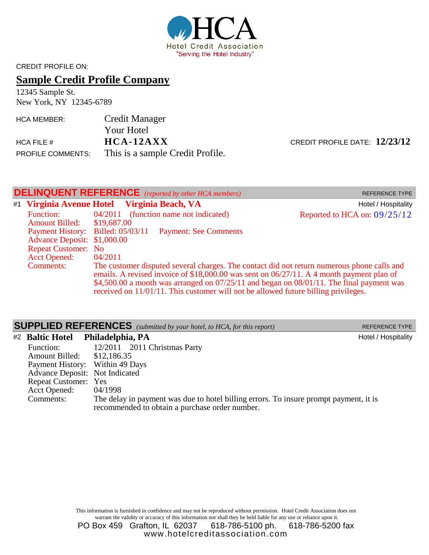

CREDIT PROFILE ON:

# **Sample Credit Profile Company**

12345 Sample St. New York, NY 12345-6789

| <b>HCA MEMBER:</b>       | Credit Manager                   |
|--------------------------|----------------------------------|
|                          | <b>Your Hotel</b>                |
| HCA FILE $#$             | $HCA-12AXX$                      |
| <b>PROFILE COMMENTS:</b> | This is a sample Credit Profile. |

CREDIT PROFILE DATE:  $12/23/12$ 

| <b>DELINQUENT REFERENCE</b> (reported by other HCA members)<br><b>REFERENCE TYPE</b> |                                                                                                                    |                                                                                                                                                                                                                                                                                                                                                                                  |                              |
|--------------------------------------------------------------------------------------|--------------------------------------------------------------------------------------------------------------------|----------------------------------------------------------------------------------------------------------------------------------------------------------------------------------------------------------------------------------------------------------------------------------------------------------------------------------------------------------------------------------|------------------------------|
|                                                                                      |                                                                                                                    | #1 Virginia Avenue Hotel Virginia Beach, VA                                                                                                                                                                                                                                                                                                                                      | Hotel / Hospitality          |
|                                                                                      | <b>Function:</b><br>Amount Billed: \$19,687.00<br>Payment History: Billed: 05/03/11<br>Advance Deposit: \$1,000.00 | 04/2011 (function name not indicated)<br><b>Payment: See Comments</b>                                                                                                                                                                                                                                                                                                            | Reported to HCA on: 09/25/12 |
| <b>Repeat Customer: No</b><br><b>Acct Opened:</b><br>04/2011<br><b>Comments:</b>     |                                                                                                                    | The customer disputed several charges. The contact did not return numerous phone calls and<br>emails. A revised invoice of \$18,000.00 was sent on $06/27/11$ . A 4 month payment plan of<br>\$4,500.00 a month was arranged on $07/25/11$ and began on $08/01/11$ . The final payment was<br>received on 11/01/11. This customer will not be allowed future billing privileges. |                              |

|                                       | <b>SUPPLIED REFERENCES</b> (submitted by your hotel, to HCA, for this report) | <b>REFERENCE TYPE</b> |
|---------------------------------------|-------------------------------------------------------------------------------|-----------------------|
| #2 Baltic Hotel Philadelphia, PA      |                                                                               | Hotel / Hospitality   |
| Function:                             | 12/2011 2011 Christmas Party                                                  |                       |
| <b>Amount Billed:</b>                 | \$12,186.35                                                                   |                       |
| Payment History: Within 49 Days       |                                                                               |                       |
| <b>Advance Deposit:</b> Not Indicated |                                                                               |                       |

Repeat Customer: Yes Acct Opened: 04/1998<br>Comments: The dela The delay in payment was due to hotel billing errors. To insure prompt payment, it is recommended to obtain a purchase order number.

> This information is furnished in confidence and may not be reproduced without permission. Hotel Credit Association does not warrant the validity or accuracy of this information nor shall they be held liable for any use or reliance upon it.

> PO Box 459 Grafton, IL 62037 618-786-5100 ph. 618-786-5200 fax www.hotelcreditassociation.com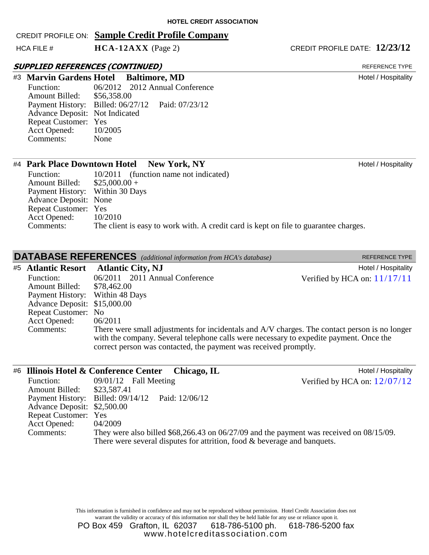#### CREDIT PROFILE ON: **Sample Credit Profile Company**

HCA FILE # **HCA-12AXX** (Page 2) **CREDIT PROFILE DATE:** 12/23/12

#### SUPPLIED REFERENCES (CONTINUED)

Function: 06/2012 2012 Annual Conference<br>Amount Billed: \$56,358.00 Amount Billed: Payment History: Billed: 06/27/12 Paid: 07/23/12 Advance Deposit: Not Indicated Repeat Customer: Yes<br>Acct Opened: 10/2005 Acct Opened: Comments: None #3 **Marvin Gardens Hotel Baltimore, MD** Hotel / Hospitality

#### #4 **Park Place Downtown Hotel New York, NY** New York, NY

| Function:                       | 10/2011 (function name not indicated)                                                |
|---------------------------------|--------------------------------------------------------------------------------------|
| Amount Billed:                  | $$25,000.00+$                                                                        |
| Payment History: Within 30 Days |                                                                                      |
| Advance Deposit: None           |                                                                                      |
| Repeat Customer: Yes            |                                                                                      |
| <b>Acct Opened:</b>             | 10/2010                                                                              |
| Comments:                       | The client is easy to work with. A credit card is kept on file to guarantee charges. |

| <b>DATABASE REFERENCES</b> (additional information from HCA's database) | <b>REFERENCE TYPE</b> |
|-------------------------------------------------------------------------|-----------------------|
|                                                                         |                       |

|                                 | #5 Atlantic Resort Atlantic City, NJ                                                                                                                                                    | Hotel / Hospitality            |
|---------------------------------|-----------------------------------------------------------------------------------------------------------------------------------------------------------------------------------------|--------------------------------|
| Function:                       | 06/2011 2011 Annual Conference                                                                                                                                                          | Verified by HCA on: $11/17/11$ |
| <b>Amount Billed:</b>           | \$78,462.00                                                                                                                                                                             |                                |
| Payment History: Within 48 Days |                                                                                                                                                                                         |                                |
| Advance Deposit: \$15,000.00    |                                                                                                                                                                                         |                                |
| Repeat Customer: No             |                                                                                                                                                                                         |                                |
| <b>Acct Opened:</b>             | 06/2011                                                                                                                                                                                 |                                |
| Comments:                       | There were small adjustments for incidentals and A/V charges. The contact person is no longer<br>with the company. Several telephone calls were necessary to expedite payment. Once the |                                |
|                                 | correct person was contacted, the payment was received promptly.                                                                                                                        |                                |

|                             | #6 Illinois Hotel & Conference Center Chicago, IL                          | Hotel / Hospitality                                                                           |
|-----------------------------|----------------------------------------------------------------------------|-----------------------------------------------------------------------------------------------|
| Function:                   | $09/01/12$ Fall Meeting                                                    | Verified by HCA on: $12/07/12$                                                                |
| Amount Billed: \$23,587.41  |                                                                            |                                                                                               |
|                             | Payment History: Billed: 09/14/12 Paid: 12/06/12                           |                                                                                               |
| Advance Deposit: \$2,500.00 |                                                                            |                                                                                               |
| Repeat Customer: Yes        |                                                                            |                                                                                               |
| Acct Opened:                | 04/2009                                                                    |                                                                                               |
| Comments:                   |                                                                            | They were also billed $$68,266.43$ on $06/27/09$ and the payment was received on $08/15/09$ . |
|                             | There were several disputes for attrition, food $&$ beverage and banquets. |                                                                                               |

This information is furnished in confidence and may not be reproduced without permission. Hotel Credit Association does not warrant the validity or accuracy of this information nor shall they be held liable for any use or reliance upon it.

PO Box 459 Grafton, IL 62037 618-786-5100 ph. 618-786-5200 fax www.hotelcreditassociation.com

REFERENCE TYPE